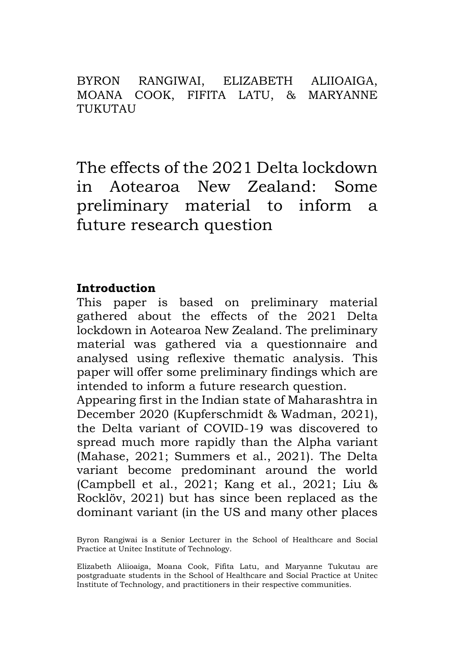BYRON RANGIWAI, ELIZABETH ALIIOAIGA, MOANA COOK, FIFITA LATU, & MARYANNE TUKUTAU

The effects of the 2021 Delta lockdown in Aotearoa New Zealand: Some preliminary material to inform a future research question

### **Introduction**

This paper is based on preliminary material gathered about the effects of the 2021 Delta lockdown in Aotearoa New Zealand. The preliminary material was gathered via a questionnaire and analysed using reflexive thematic analysis. This paper will offer some preliminary findings which are intended to inform a future research question.

Appearing first in the Indian state of Maharashtra in December 2020 (Kupferschmidt & Wadman, 2021), the Delta variant of COVID-19 was discovered to spread much more rapidly than the Alpha variant (Mahase, 2021; Summers et al., 2021). The Delta variant become predominant around the world (Campbell et al., 2021; Kang et al., 2021; Liu & Rocklöv, 2021) but has since been replaced as the dominant variant (in the US and many other places

Byron Rangiwai is a Senior Lecturer in the School of Healthcare and Social Practice at Unitec Institute of Technology.

Elizabeth Aliioaiga, Moana Cook, Fifita Latu, and Maryanne Tukutau are postgraduate students in the School of Healthcare and Social Practice at Unitec Institute of Technology, and practitioners in their respective communities.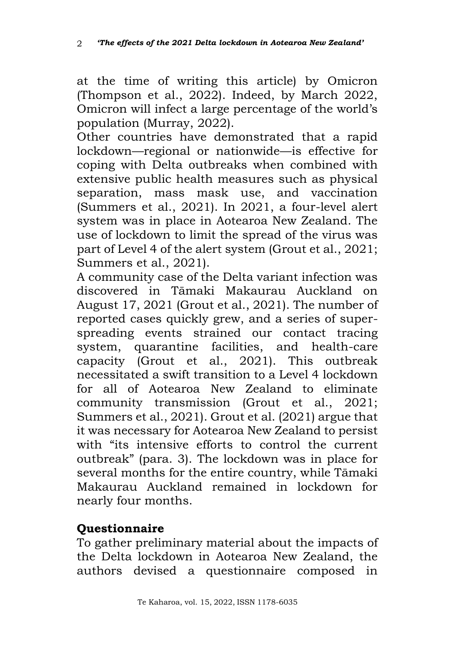at the time of writing this article) by Omicron (Thompson et al., 2022). Indeed, by March 2022, Omicron will infect a large percentage of the world's population (Murray, 2022).

Other countries have demonstrated that a rapid lockdown—regional or nationwide—is effective for coping with Delta outbreaks when combined with extensive public health measures such as physical separation, mass mask use, and vaccination (Summers et al., 2021). In 2021, a four-level alert system was in place in Aotearoa New Zealand. The use of lockdown to limit the spread of the virus was part of Level 4 of the alert system (Grout et al., 2021; Summers et al., 2021).

A community case of the Delta variant infection was discovered in Tāmaki Makaurau Auckland on August 17, 2021 (Grout et al., 2021). The number of reported cases quickly grew, and a series of superspreading events strained our contact tracing system, quarantine facilities, and health-care capacity (Grout et al., 2021). This outbreak necessitated a swift transition to a Level 4 lockdown for all of Aotearoa New Zealand to eliminate community transmission (Grout et al., 2021; Summers et al., 2021). Grout et al. (2021) argue that it was necessary for Aotearoa New Zealand to persist with "its intensive efforts to control the current outbreak" (para. 3). The lockdown was in place for several months for the entire country, while Tāmaki Makaurau Auckland remained in lockdown for nearly four months.

## **Questionnaire**

To gather preliminary material about the impacts of the Delta lockdown in Aotearoa New Zealand, the authors devised a questionnaire composed in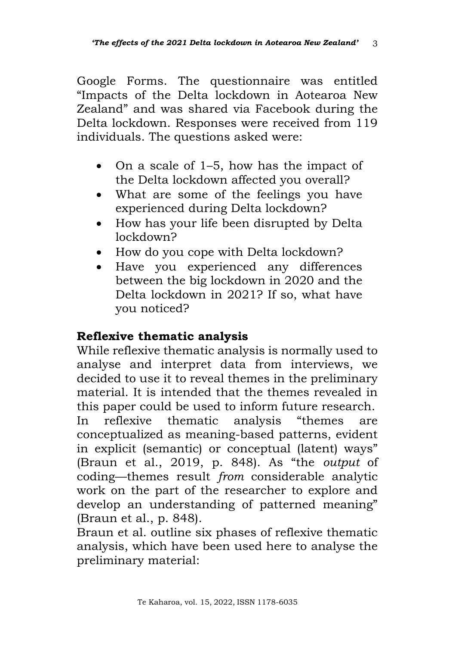Google Forms. The questionnaire was entitled "Impacts of the Delta lockdown in Aotearoa New Zealand" and was shared via Facebook during the Delta lockdown. Responses were received from 119 individuals. The questions asked were:

- On a scale of 1–5, how has the impact of the Delta lockdown affected you overall?
- What are some of the feelings you have experienced during Delta lockdown?
- How has your life been disrupted by Delta lockdown?
- How do you cope with Delta lockdown?
- Have you experienced any differences between the big lockdown in 2020 and the Delta lockdown in 2021? If so, what have you noticed?

## **Reflexive thematic analysis**

While reflexive thematic analysis is normally used to analyse and interpret data from interviews, we decided to use it to reveal themes in the preliminary material. It is intended that the themes revealed in this paper could be used to inform future research. In reflexive thematic analysis "themes are conceptualized as meaning-based patterns, evident in explicit (semantic) or conceptual (latent) ways" (Braun et al., 2019, p. 848). As "the *output* of coding—themes result *from* considerable analytic work on the part of the researcher to explore and develop an understanding of patterned meaning" (Braun et al., p. 848).

Braun et al. outline six phases of reflexive thematic analysis, which have been used here to analyse the preliminary material: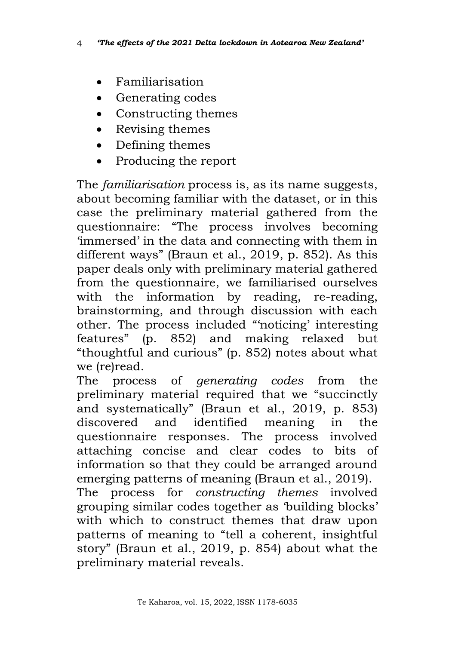- Familiarisation
- Generating codes
- Constructing themes
- Revising themes
- Defining themes
- Producing the report

The *familiarisation* process is, as its name suggests, about becoming familiar with the dataset, or in this case the preliminary material gathered from the questionnaire: "The process involves becoming 'immersed' in the data and connecting with them in different ways" (Braun et al., 2019, p. 852). As this paper deals only with preliminary material gathered from the questionnaire, we familiarised ourselves with the information by reading, re-reading, brainstorming, and through discussion with each other. The process included "'noticing' interesting features" (p. 852) and making relaxed but "thoughtful and curious" (p. 852) notes about what we (re)read.

The process of *generating codes* from the preliminary material required that we "succinctly and systematically" (Braun et al., 2019, p. 853) discovered and identified meaning in the questionnaire responses. The process involved attaching concise and clear codes to bits of information so that they could be arranged around emerging patterns of meaning (Braun et al., 2019). The process for *constructing themes* involved grouping similar codes together as 'building blocks' with which to construct themes that draw upon

patterns of meaning to "tell a coherent, insightful story" (Braun et al., 2019, p. 854) about what the preliminary material reveals.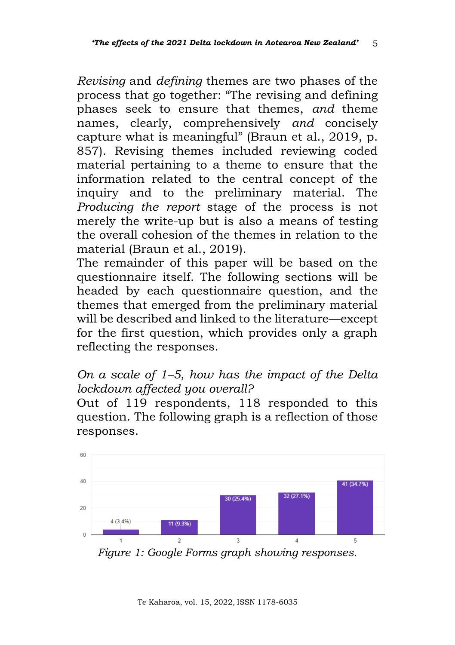*Revising* and *defining* themes are two phases of the process that go together: "The revising and defining phases seek to ensure that themes, *and* theme names, clearly, comprehensively *and* concisely capture what is meaningful" (Braun et al., 2019, p. 857). Revising themes included reviewing coded material pertaining to a theme to ensure that the information related to the central concept of the inquiry and to the preliminary material. The *Producing the report* stage of the process is not merely the write-up but is also a means of testing the overall cohesion of the themes in relation to the material (Braun et al., 2019).

The remainder of this paper will be based on the questionnaire itself. The following sections will be headed by each questionnaire question, and the themes that emerged from the preliminary material will be described and linked to the literature—except for the first question, which provides only a graph reflecting the responses.

*On a scale of 1–5, how has the impact of the Delta lockdown affected you overall?*

Out of 119 respondents, 118 responded to this question. The following graph is a reflection of those responses.



*Figure 1: Google Forms graph showing responses.*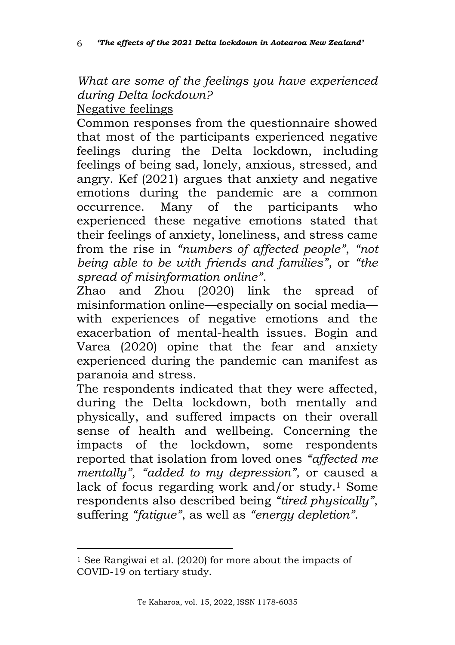*What are some of the feelings you have experienced during Delta lockdown?*

Negative feelings

Common responses from the questionnaire showed that most of the participants experienced negative feelings during the Delta lockdown, including feelings of being sad, lonely, anxious, stressed, and angry. Kef (2021) argues that anxiety and negative emotions during the pandemic are a common occurrence. Many of the participants who experienced these negative emotions stated that their feelings of anxiety, loneliness, and stress came from the rise in *"numbers of affected people"*, *"not being able to be with friends and families"*, or *"the spread of misinformation online"*.

Zhao and Zhou (2020) link the spread of misinformation online—especially on social media with experiences of negative emotions and the exacerbation of mental-health issues. Bogin and Varea (2020) opine that the fear and anxiety experienced during the pandemic can manifest as paranoia and stress.

The respondents indicated that they were affected, during the Delta lockdown, both mentally and physically, and suffered impacts on their overall sense of health and wellbeing. Concerning the impacts of the lockdown, some respondents reported that isolation from loved ones *"affected me mentally"*, *"added to my depression",* or caused a lack of focus regarding work and/or study.<sup>1</sup> Some respondents also described being *"tired physically"*, suffering *"fatigue"*, as well as *"energy depletion".* 

<sup>1</sup> See Rangiwai et al. (2020) for more about the impacts of COVID-19 on tertiary study.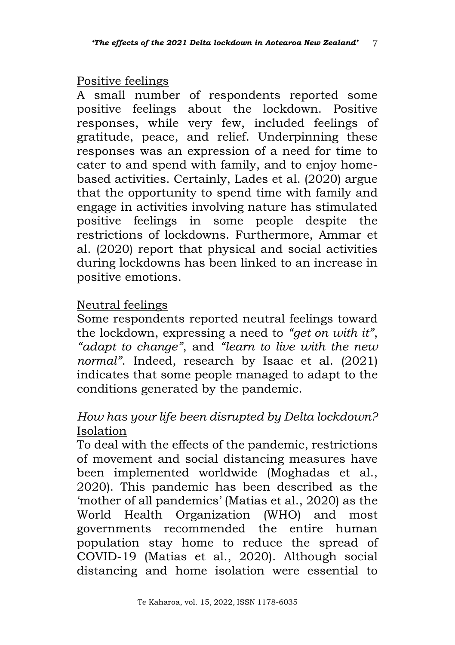### Positive feelings

A small number of respondents reported some positive feelings about the lockdown. Positive responses, while very few, included feelings of gratitude, peace, and relief. Underpinning these responses was an expression of a need for time to cater to and spend with family, and to enjoy homebased activities. Certainly, Lades et al. (2020) argue that the opportunity to spend time with family and engage in activities involving nature has stimulated positive feelings in some people despite the restrictions of lockdowns. Furthermore, Ammar et al. (2020) report that physical and social activities during lockdowns has been linked to an increase in positive emotions.

# Neutral feelings

Some respondents reported neutral feelings toward the lockdown, expressing a need to *"get on with it"*, *"adapt to change"*, and *"learn to live with the new normal"*. Indeed, research by Isaac et al. (2021) indicates that some people managed to adapt to the conditions generated by the pandemic.

# *How has your life been disrupted by Delta lockdown?* Isolation

To deal with the effects of the pandemic, restrictions of movement and social distancing measures have been implemented worldwide (Moghadas et al., 2020). This pandemic has been described as the 'mother of all pandemics' (Matias et al., 2020) as the World Health Organization (WHO) and most governments recommended the entire human population stay home to reduce the spread of COVID-19 (Matias et al., 2020). Although social distancing and home isolation were essential to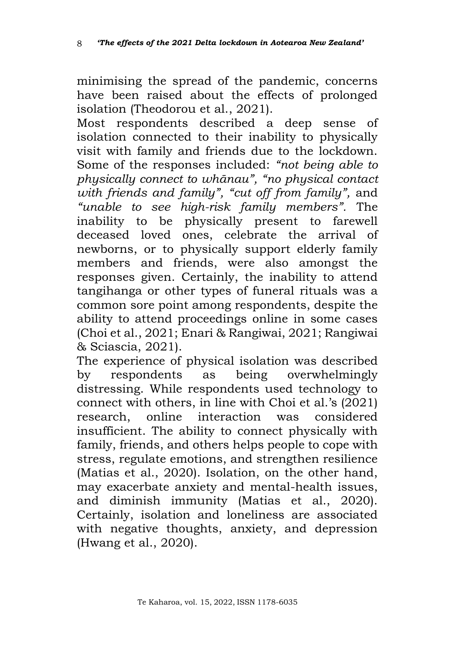minimising the spread of the pandemic, concerns have been raised about the effects of prolonged isolation (Theodorou et al., 2021).

Most respondents described a deep sense of isolation connected to their inability to physically visit with family and friends due to the lockdown. Some of the responses included: *"not being able to physically connect to whānau", "no physical contact with friends and family", "cut off from family",* and *"unable to see high-risk family members".* The inability to be physically present to farewell deceased loved ones, celebrate the arrival of newborns, or to physically support elderly family members and friends, were also amongst the responses given. Certainly, the inability to attend tangihanga or other types of funeral rituals was a common sore point among respondents, despite the ability to attend proceedings online in some cases (Choi et al., 2021; Enari & Rangiwai, 2021; Rangiwai & Sciascia, 2021).

The experience of physical isolation was described<br>by respondents as being overwhelmingly by respondents as being overwhelmingly distressing. While respondents used technology to connect with others, in line with Choi et al.'s (2021) research, online interaction was considered insufficient. The ability to connect physically with family, friends, and others helps people to cope with stress, regulate emotions, and strengthen resilience (Matias et al., 2020). Isolation, on the other hand, may exacerbate anxiety and mental-health issues, and diminish immunity (Matias et al., 2020). Certainly, isolation and loneliness are associated with negative thoughts, anxiety, and depression (Hwang et al., 2020).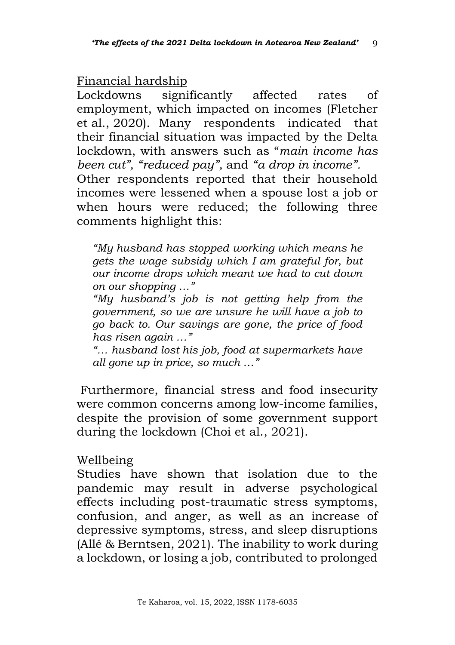Financial hardship

Lockdowns significantly affected rates of employment, which impacted on incomes (Fletcher et al., 2020). Many respondents indicated that their financial situation was impacted by the Delta lockdown, with answers such as "*main income has been cut", "reduced pay",* and *"a drop in income".*  Other respondents reported that their household incomes were lessened when a spouse lost a job or when hours were reduced; the following three comments highlight this:

*"My husband has stopped working which means he gets the wage subsidy which I am grateful for, but our income drops which meant we had to cut down on our shopping …"*

*"My husband's job is not getting help from the government, so we are unsure he will have a job to go back to. Our savings are gone, the price of food has risen again …"*

*"… husband lost his job, food at supermarkets have all gone up in price, so much …"*

Furthermore, financial stress and food insecurity were common concerns among low-income families, despite the provision of some government support during the lockdown (Choi et al., 2021).

Wellbeing

Studies have shown that isolation due to the pandemic may result in adverse psychological effects including post-traumatic stress symptoms, confusion, and anger, as well as an increase of depressive symptoms, stress, and sleep disruptions (Allé & Berntsen, 2021). The inability to work during a lockdown, or losing a job, contributed to prolonged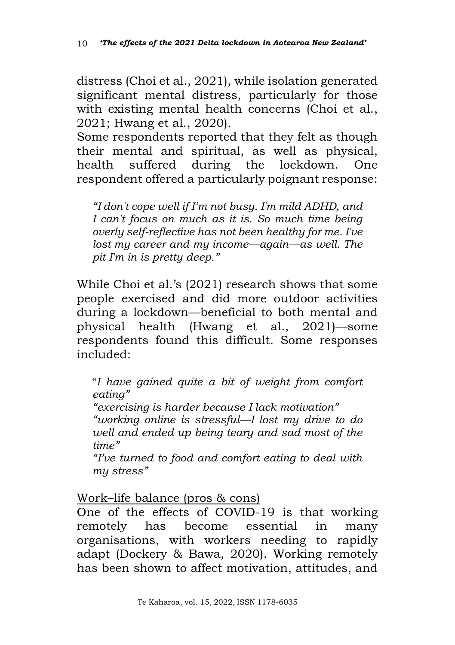distress (Choi et al., 2021), while isolation generated significant mental distress, particularly for those with existing mental health concerns (Choi et al., 2021; Hwang et al., 2020).

Some respondents reported that they felt as though their mental and spiritual, as well as physical, health suffered during the lockdown. One respondent offered a particularly poignant response:

*"I don't cope well if I'm not busy. I'm mild ADHD, and I can't focus on much as it is. So much time being overly self-reflective has not been healthy for me. I've lost my career and my income—again—as well. The pit I'm in is pretty deep."*

While Choi et al.'s (2021) research shows that some people exercised and did more outdoor activities during a lockdown—beneficial to both mental and physical health (Hwang et al., 2021)—some respondents found this difficult. Some responses included:

"*I have gained quite a bit of weight from comfort eating"*

*"exercising is harder because I lack motivation" "working online is stressful—I lost my drive to do well and ended up being teary and sad most of the time"*

*"I've turned to food and comfort eating to deal with my stress"*

Work–life balance (pros & cons)

One of the effects of COVID-19 is that working remotely has become essential in many organisations, with workers needing to rapidly adapt (Dockery & Bawa, 2020). Working remotely has been shown to affect motivation, attitudes, and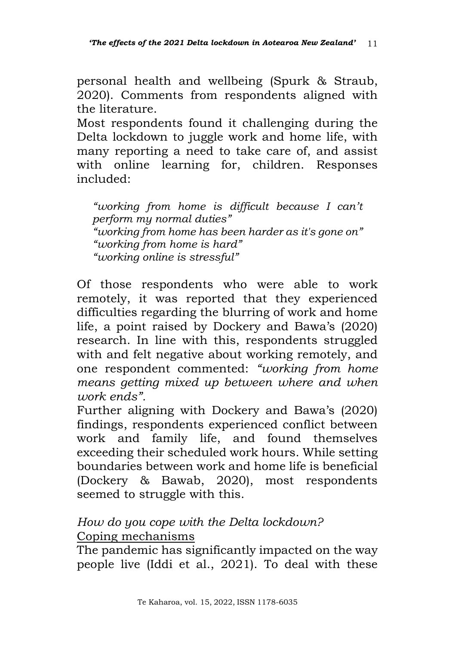personal health and wellbeing (Spurk & Straub, 2020). Comments from respondents aligned with the literature.

Most respondents found it challenging during the Delta lockdown to juggle work and home life, with many reporting a need to take care of, and assist with online learning for, children. Responses included:

*"working from home is difficult because I can't perform my normal duties" "working from home has been harder as it's gone on" "working from home is hard" "working online is stressful"*

Of those respondents who were able to work remotely, it was reported that they experienced difficulties regarding the blurring of work and home life, a point raised by Dockery and Bawa's (2020) research. In line with this, respondents struggled with and felt negative about working remotely, and one respondent commented: *"working from home means getting mixed up between where and when work ends".*

Further aligning with Dockery and Bawa's (2020) findings, respondents experienced conflict between work and family life, and found themselves exceeding their scheduled work hours. While setting boundaries between work and home life is beneficial (Dockery & Bawab, 2020), most respondents seemed to struggle with this.

# *How do you cope with the Delta lockdown?* Coping mechanisms

The pandemic has significantly impacted on the way people live (Iddi et al., 2021). To deal with these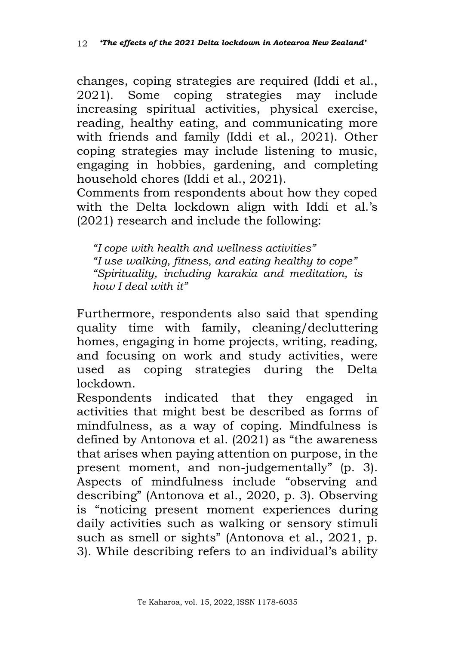changes, coping strategies are required (Iddi et al., 2021). Some coping strategies may include increasing spiritual activities, physical exercise, reading, healthy eating, and communicating more with friends and family (Iddi et al., 2021). Other coping strategies may include listening to music, engaging in hobbies, gardening, and completing household chores (Iddi et al., 2021).

Comments from respondents about how they coped with the Delta lockdown align with Iddi et al.'s (2021) research and include the following:

*"I cope with health and wellness activities" "I use walking, fitness, and eating healthy to cope" "Spirituality, including karakia and meditation, is how I deal with it"* 

Furthermore, respondents also said that spending quality time with family, cleaning/decluttering homes, engaging in home projects, writing, reading, and focusing on work and study activities, were used as coping strategies during the Delta lockdown.

Respondents indicated that they engaged in activities that might best be described as forms of mindfulness, as a way of coping. Mindfulness is defined by Antonova et al.  $(2021)$  as "the awareness" that arises when paying attention on purpose, in the present moment, and non-judgementally" (p. 3). Aspects of mindfulness include "observing and describing" (Antonova et al., 2020, p. 3). Observing is "noticing present moment experiences during daily activities such as walking or sensory stimuli such as smell or sights" (Antonova et al., 2021, p. 3). While describing refers to an individual's ability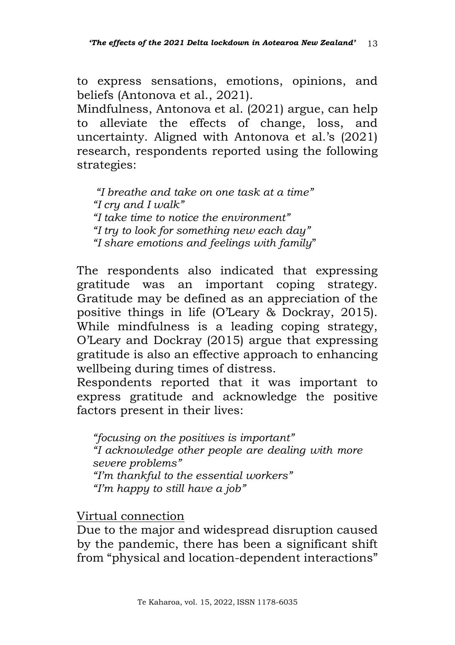to express sensations, emotions, opinions, and beliefs (Antonova et al., 2021).

Mindfulness, Antonova et al. (2021) argue, can help to alleviate the effects of change, loss, and uncertainty. Aligned with Antonova et al.'s (2021) research, respondents reported using the following strategies:

*"I breathe and take on one task at a time" "I cry and I walk" "I take time to notice the environment" "I try to look for something new each day" "I share emotions and feelings with family*"

The respondents also indicated that expressing gratitude was an important coping strategy. Gratitude may be defined as an appreciation of the positive things in life (O'Leary & Dockray, 2015). While mindfulness is a leading coping strategy, O'Leary and Dockray (2015) argue that expressing gratitude is also an effective approach to enhancing wellbeing during times of distress.

Respondents reported that it was important to express gratitude and acknowledge the positive factors present in their lives:

*"focusing on the positives is important" "I acknowledge other people are dealing with more severe problems" "I'm thankful to the essential workers" "I'm happy to still have a job"*

Virtual connection

Due to the major and widespread disruption caused by the pandemic, there has been a significant shift from "physical and location-dependent interactions"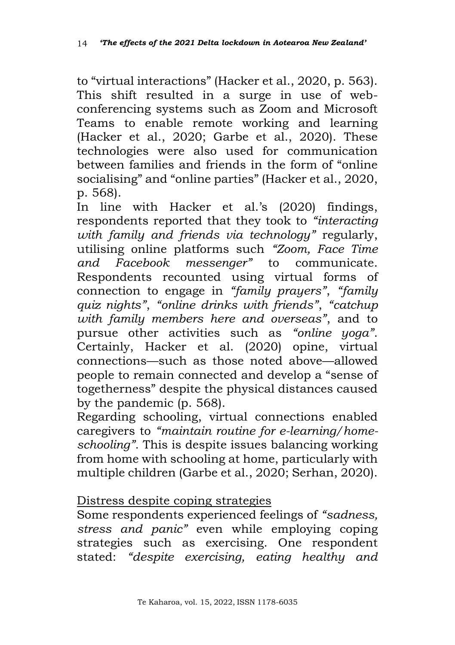to "virtual interactions" (Hacker et al., 2020, p. 563). This shift resulted in a surge in use of webconferencing systems such as Zoom and Microsoft Teams to enable remote working and learning (Hacker et al., 2020; Garbe et al., 2020). These technologies were also used for communication between families and friends in the form of "online socialising" and "online parties" (Hacker et al., 2020, p. 568).

In line with Hacker et al.'s (2020) findings, respondents reported that they took to *"interacting with family and friends via technology"* regularly, utilising online platforms such *"Zoom, Face Time and Facebook messenger"* to communicate. Respondents recounted using virtual forms of connection to engage in *"family prayers"*, *"family quiz nights"*, *"online drinks with friends"*, *"catchup with family members here and overseas"*, and to pursue other activities such as *"online yoga"*. Certainly, Hacker et al. (2020) opine, virtual connections—such as those noted above—allowed people to remain connected and develop a "sense of togetherness" despite the physical distances caused by the pandemic (p. 568).

Regarding schooling, virtual connections enabled caregivers to *"maintain routine for e-learning/homeschooling"*. This is despite issues balancing working from home with schooling at home, particularly with multiple children (Garbe et al., 2020; Serhan, 2020).

## Distress despite coping strategies

Some respondents experienced feelings of *"sadness, stress and panic"* even while employing coping strategies such as exercising. One respondent stated: *"despite exercising, eating healthy and*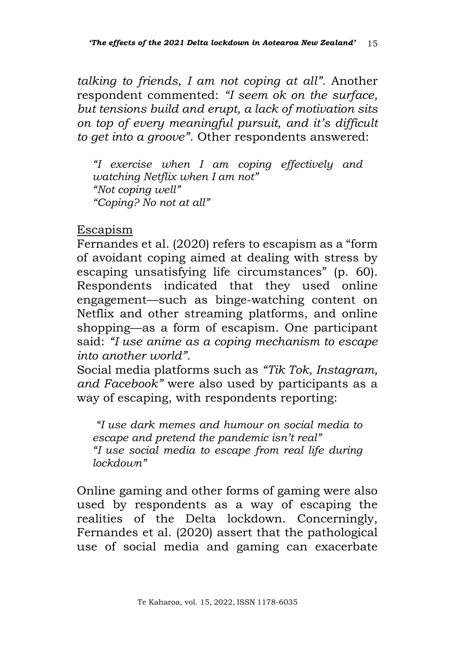*talking to friends, I am not coping at all".* Another respondent commented: *"I seem ok on the surface, but tensions build and erupt, a lack of motivation sits on top of every meaningful pursuit, and it's difficult to get into a groove"*. Other respondents answered:

*"I exercise when I am coping effectively and watching Netflix when I am not" "Not coping well" "Coping? No not at all"*

#### Escapism

Fernandes et al. (2020) refers to escapism as a "form of avoidant coping aimed at dealing with stress by escaping unsatisfying life circumstances" (p. 60). Respondents indicated that they used online engagement—such as binge-watching content on Netflix and other streaming platforms, and online shopping—as a form of escapism. One participant said: *"I use anime as a coping mechanism to escape into another world".*

Social media platforms such as *"Tik Tok, Instagram, and Facebook"* were also used by participants as a way of escaping, with respondents reporting:

*"I use dark memes and humour on social media to escape and pretend the pandemic isn't real" "I use social media to escape from real life during lockdown"* 

Online gaming and other forms of gaming were also used by respondents as a way of escaping the realities of the Delta lockdown. Concerningly, Fernandes et al. (2020) assert that the pathological use of social media and gaming can exacerbate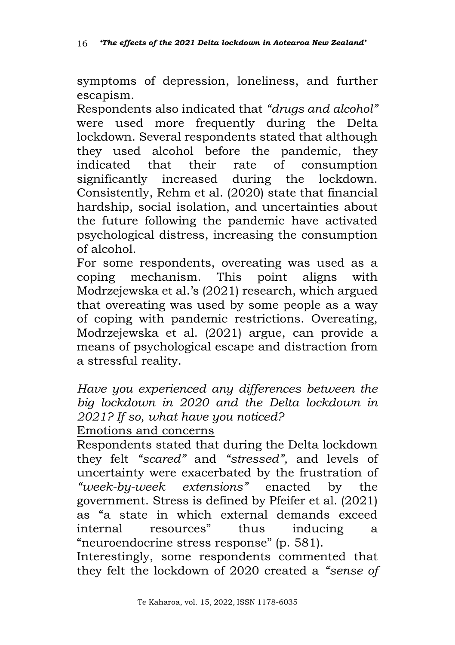symptoms of depression, loneliness, and further escapism.

Respondents also indicated that *"drugs and alcohol"* were used more frequently during the Delta lockdown. Several respondents stated that although they used alcohol before the pandemic, they indicated that their rate of consumption significantly increased during the lockdown. Consistently, Rehm et al. (2020) state that financial hardship, social isolation, and uncertainties about the future following the pandemic have activated psychological distress, increasing the consumption of alcohol.

For some respondents, overeating was used as a coping mechanism. This point aligns with Modrzejewska et al.'s (2021) research, which argued that overeating was used by some people as a way of coping with pandemic restrictions. Overeating, Modrzejewska et al. (2021) argue, can provide a means of psychological escape and distraction from a stressful reality.

*Have you experienced any differences between the big lockdown in 2020 and the Delta lockdown in 2021? If so, what have you noticed?*

# Emotions and concerns

Respondents stated that during the Delta lockdown they felt *"scared"* and *"stressed",* and levels of uncertainty were exacerbated by the frustration of *"week-by-week extensions"* enacted by the government. Stress is defined by Pfeifer et al. (2021) as "a state in which external demands exceed internal resources" thus inducing a "neuroendocrine stress response" (p. 581).

Interestingly, some respondents commented that they felt the lockdown of 2020 created a *"sense of*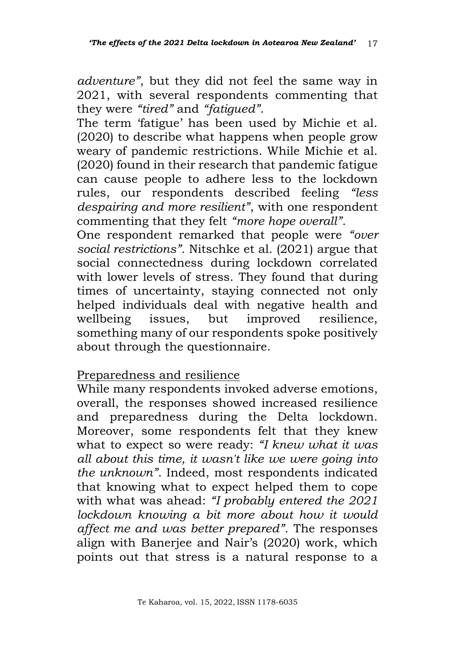*adventure"*, but they did not feel the same way in 2021, with several respondents commenting that they were *"tired"* and *"fatigued"*.

The term 'fatigue' has been used by Michie et al. (2020) to describe what happens when people grow weary of pandemic restrictions. While Michie et al. (2020) found in their research that pandemic fatigue can cause people to adhere less to the lockdown rules, our respondents described feeling *"less despairing and more resilient"*, with one respondent commenting that they felt *"more hope overall"*.

One respondent remarked that people were *"over social restrictions".* Nitschke et al. (2021) argue that social connectedness during lockdown correlated with lower levels of stress. They found that during times of uncertainty, staying connected not only helped individuals deal with negative health and wellbeing issues, but improved resilience, something many of our respondents spoke positively about through the questionnaire.

### Preparedness and resilience

While many respondents invoked adverse emotions, overall, the responses showed increased resilience and preparedness during the Delta lockdown. Moreover, some respondents felt that they knew what to expect so were ready: *"I knew what it was all about this time, it wasn't like we were going into the unknown"*. Indeed, most respondents indicated that knowing what to expect helped them to cope with what was ahead: *"I probably entered the 2021 lockdown knowing a bit more about how it would affect me and was better prepared"*. The responses align with Banerjee and Nair's (2020) work, which points out that stress is a natural response to a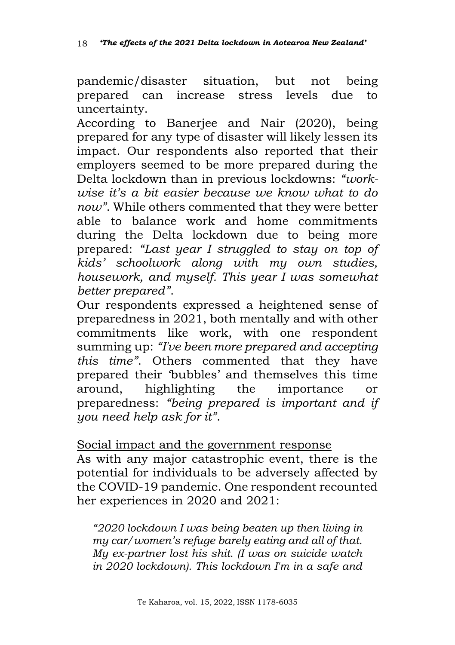pandemic/disaster situation, but not being prepared can increase stress levels due to uncertainty.

According to Banerjee and Nair (2020), being prepared for any type of disaster will likely lessen its impact. Our respondents also reported that their employers seemed to be more prepared during the Delta lockdown than in previous lockdowns: *"workwise it's a bit easier because we know what to do now"*. While others commented that they were better able to balance work and home commitments during the Delta lockdown due to being more prepared: *"Last year I struggled to stay on top of kids' schoolwork along with my own studies, housework, and myself. This year I was somewhat better prepared"*.

Our respondents expressed a heightened sense of preparedness in 2021, both mentally and with other commitments like work, with one respondent summing up: *"I've been more prepared and accepting this time"*. Others commented that they have prepared their 'bubbles' and themselves this time around, highlighting the importance or preparedness: *"being prepared is important and if you need help ask for it"*.

Social impact and the government response

As with any major catastrophic event, there is the potential for individuals to be adversely affected by the COVID-19 pandemic. One respondent recounted her experiences in 2020 and 2021:

*"2020 lockdown I was being beaten up then living in my car/women's refuge barely eating and all of that. My ex-partner lost his shit. (I was on suicide watch in 2020 lockdown). This lockdown I'm in a safe and*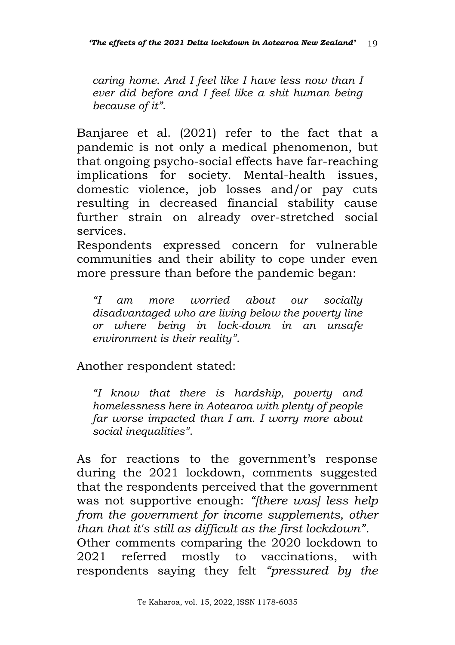*caring home. And I feel like I have less now than I ever did before and I feel like a shit human being because of it"*.

Banjaree et al. (2021) refer to the fact that a pandemic is not only a medical phenomenon, but that ongoing psycho-social effects have far-reaching implications for society. Mental-health issues, domestic violence, job losses and/or pay cuts resulting in decreased financial stability cause further strain on already over-stretched social services.

Respondents expressed concern for vulnerable communities and their ability to cope under even more pressure than before the pandemic began:

*"I am more worried about our socially disadvantaged who are living below the poverty line or where being in lock-down in an unsafe environment is their reality"*.

Another respondent stated:

*"I know that there is hardship, poverty and homelessness here in Aotearoa with plenty of people far worse impacted than I am. I worry more about social inequalities"*.

As for reactions to the government's response during the 2021 lockdown, comments suggested that the respondents perceived that the government was not supportive enough: *"[there was] less help from the government for income supplements, other than that it's still as difficult as the first lockdown"*. Other comments comparing the 2020 lockdown to 2021 referred mostly to vaccinations, with respondents saying they felt *"pressured by the*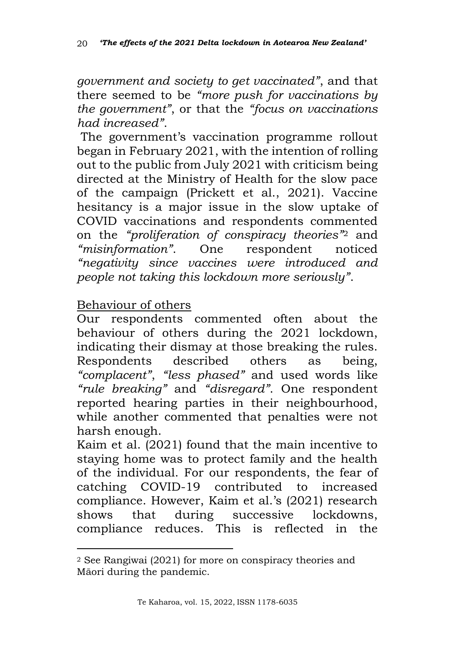*government and society to get vaccinated"*, and that there seemed to be *"more push for vaccinations by the government"*, or that the *"focus on vaccinations had increased"*.

The government's vaccination programme rollout began in February 2021, with the intention of rolling out to the public from July 2021 with criticism being directed at the Ministry of Health for the slow pace of the campaign (Prickett et al., 2021). Vaccine hesitancy is a major issue in the slow uptake of COVID vaccinations and respondents commented on the *"proliferation of conspiracy theories"*<sup>2</sup> and *"misinformation"*. One respondent noticed *"negativity since vaccines were introduced and people not taking this lockdown more seriously"*.

### Behaviour of others

Our respondents commented often about the behaviour of others during the 2021 lockdown, indicating their dismay at those breaking the rules. Respondents described others as being, *"complacent"*, *"less phased"* and used words like *"rule breaking"* and *"disregard"*. One respondent reported hearing parties in their neighbourhood, while another commented that penalties were not harsh enough.

Kaim et al. (2021) found that the main incentive to staying home was to protect family and the health of the individual. For our respondents, the fear of catching COVID-19 contributed to increased compliance. However, Kaim et al.'s (2021) research shows that during successive lockdowns, compliance reduces. This is reflected in the

<sup>2</sup> See Rangiwai (2021) for more on conspiracy theories and Māori during the pandemic.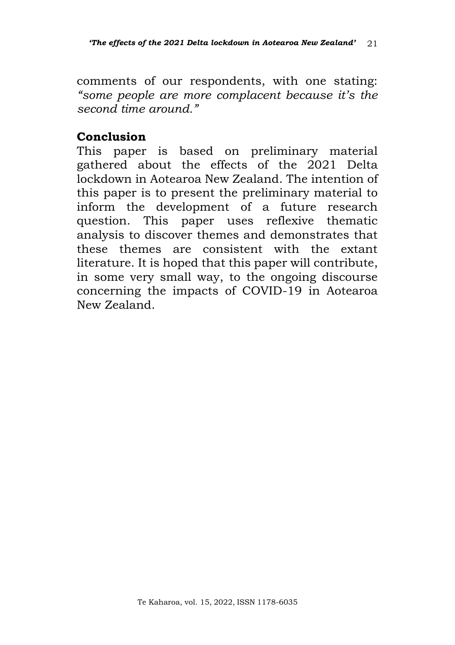comments of our respondents, with one stating: *"some people are more complacent because it's the second time around."* 

#### **Conclusion**

This paper is based on preliminary material gathered about the effects of the 2021 Delta lockdown in Aotearoa New Zealand. The intention of this paper is to present the preliminary material to inform the development of a future research question. This paper uses reflexive thematic analysis to discover themes and demonstrates that these themes are consistent with the extant literature. It is hoped that this paper will contribute, in some very small way, to the ongoing discourse concerning the impacts of COVID-19 in Aotearoa New Zealand.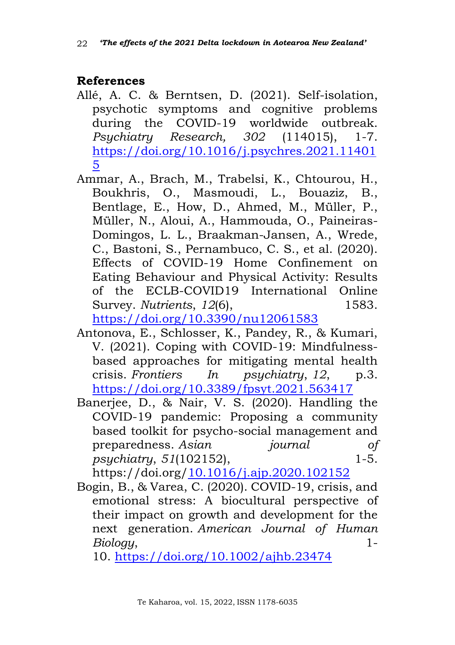### **References**

- Allé, A. C. & Berntsen, D. (2021). Self-isolation, psychotic symptoms and cognitive problems during the COVID-19 worldwide outbreak. *Psychiatry Research, 302* (114015), 1-7. [https://doi.org/10.1016/j.psychres.2021.11401](https://doi.org/10.1016/j.psychres.2021.114015) [5](https://doi.org/10.1016/j.psychres.2021.114015)
- Ammar, A., Brach, M., Trabelsi, K., Chtourou, H., Boukhris, O., Masmoudi, L., Bouaziz, B., Bentlage, E., How, D., Ahmed, M., Müller, P., Müller, N., Aloui, A., Hammouda, O., Paineiras-Domingos, L. L., Braakman-Jansen, A., Wrede, C., Bastoni, S., Pernambuco, C. S., et al. (2020). Effects of COVID-19 Home Confinement on Eating Behaviour and Physical Activity: Results of the ECLB-COVID19 International Online Survey. *Nutrients*, *12*(6), 1583. <https://doi.org/10.3390/nu12061583>
- Antonova, E., Schlosser, K., Pandey, R., & Kumari, V. (2021). Coping with COVID-19: Mindfulnessbased approaches for mitigating mental health crisis. *Frontiers In psychiatry*, *12*, p.3. <https://doi.org/10.3389/fpsyt.2021.563417>
- Banerjee, D., & Nair, V. S. (2020). Handling the COVID-19 pandemic: Proposing a community based toolkit for psycho-social management and preparedness. *Asian journal of psychiatry*, *51*(102152), 1-5.

https://doi.org[/10.1016/j.ajp.2020.102152](https://dx.doi.org/10.1016%2Fj.ajp.2020.102152)

Bogin, B., & Varea, C. (2020). COVID-19, crisis, and emotional stress: A biocultural perspective of their impact on growth and development for the next generation. *American Journal of Human Biology*, 1-

10. <https://doi.org/10.1002/ajhb.23474>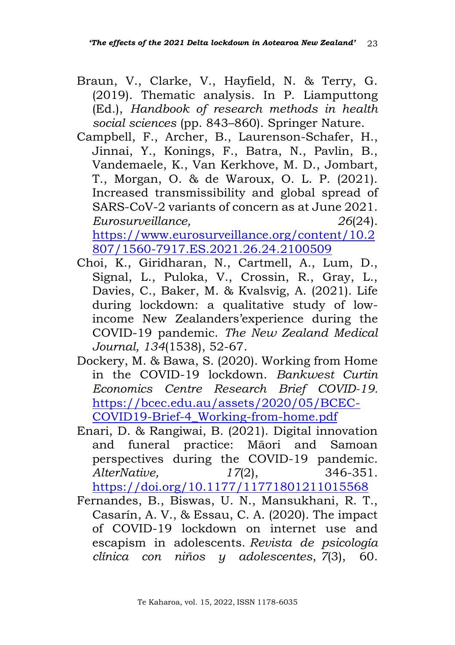- Braun, V., Clarke, V., Hayfield, N. & Terry, G. (2019). Thematic analysis. In P. Liamputtong (Ed.), *Handbook of research methods in health social sciences* (pp. 843–860). Springer Nature.
- Campbell, F., Archer, B., Laurenson-Schafer, H., Jinnai, Y., Konings, F., Batra, N., Pavlin, B., Vandemaele, K., Van Kerkhove, M. D., Jombart, T., Morgan, O. & de Waroux, O. L. P. (2021). Increased transmissibility and global spread of SARS-CoV-2 variants of concern as at June 2021. *Eurosurveillance, 26*(24).

[https://www.eurosurveillance.org/content/10.2](https://www.eurosurveillance.org/content/10.2807/1560-7917.ES.2021.26.24.2100509) [807/1560-7917.ES.2021.26.24.2100509](https://www.eurosurveillance.org/content/10.2807/1560-7917.ES.2021.26.24.2100509)

- Choi, K., Giridharan, N., Cartmell, A., Lum, D., Signal, L., Puloka, V., Crossin, R., Gray, L., Davies, C., Baker, M. & Kvalsvig, A. (2021). Life during lockdown: a qualitative study of lowincome New Zealanders'experience during the COVID-19 pandemic. *The New Zealand Medical Journal, 134*(1538), 52-67.
- Dockery, M. & Bawa, S. (2020). Working from Home in the COVID-19 lockdown. *Bankwest Curtin Economics Centre Research Brief COVID-19.* [https://bcec.edu.au/assets/2020/05/BCEC-](https://bcec.edu.au/assets/2020/05/BCEC-COVID19-Brief-4_Working-from-home.pdf)[COVID19-Brief-4\\_Working-from-home.pdf](https://bcec.edu.au/assets/2020/05/BCEC-COVID19-Brief-4_Working-from-home.pdf)
- Enari, D. & Rangiwai, B. (2021). Digital innovation and funeral practice: Māori and Samoan perspectives during the COVID-19 pandemic. *AlterNative, 17*(2), 346-351. <https://doi.org/10.1177/11771801211015568>
- Fernandes, B., Biswas, U. N., Mansukhani, R. T., Casarín, A. V., & Essau, C. A. (2020). The impact of COVID-19 lockdown on internet use and escapism in adolescents. *Revista de psicología clínica con niños y adolescentes*, *7*(3), 60.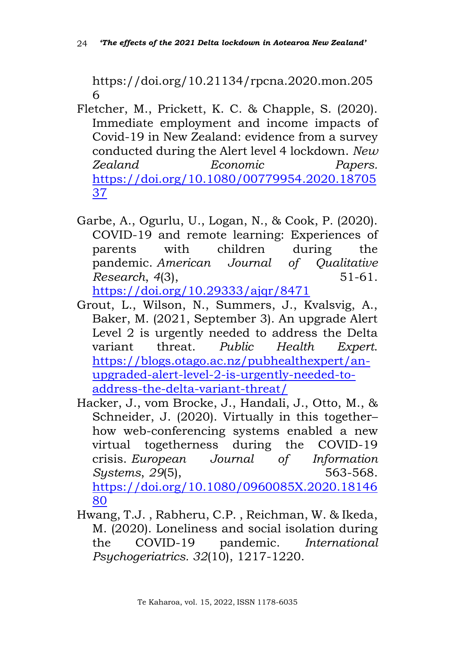https://doi.org/10.21134/rpcna.2020.mon.205 6

- Fletcher, M., Prickett, K. C. & Chapple, S. (2020). Immediate employment and income impacts of Covid-19 in New Zealand: evidence from a survey conducted during the Alert level 4 lockdown. *New Zealand Economic Papers.*  [https://doi.org/10.1080/00779954.2020.18705](https://doi.org/10.1080/00779954.2020.1870537) [37](https://doi.org/10.1080/00779954.2020.1870537)
- Garbe, A., Ogurlu, U., Logan, N., & Cook, P. (2020). COVID-19 and remote learning: Experiences of parents with children during the pandemic. *American Journal of Qualitative Research*, *4*(3), 51-61.

<https://doi.org/10.29333/ajqr/8471>

- Grout, L., Wilson, N., Summers, J., Kvalsvig, A., Baker, M. (2021, September 3). An upgrade Alert Level 2 is urgently needed to address the Delta variant threat. *Public Health Expert*. [https://blogs.otago.ac.nz/pubhealthexpert/an](https://blogs.otago.ac.nz/pubhealthexpert/an-upgraded-alert-level-2-is-urgently-needed-to-address-the-delta-variant-threat/)[upgraded-alert-level-2-is-urgently-needed-to](https://blogs.otago.ac.nz/pubhealthexpert/an-upgraded-alert-level-2-is-urgently-needed-to-address-the-delta-variant-threat/)[address-the-delta-variant-threat/](https://blogs.otago.ac.nz/pubhealthexpert/an-upgraded-alert-level-2-is-urgently-needed-to-address-the-delta-variant-threat/)
- Hacker, J., vom Brocke, J., Handali, J., Otto, M., & Schneider, J. (2020). Virtually in this together– how web-conferencing systems enabled a new virtual togetherness during the COVID-19 crisis. *European Journal of Information Systems*, *29*(5), 563-568. [https://doi.org/10.1080/0960085X.2020.18146](https://doi.org/10.1080/0960085X.2020.1814680) [80](https://doi.org/10.1080/0960085X.2020.1814680)
- Hwang, T.J. , Rabheru, C.P. , Reichman, W. & Ikeda, M. (2020). Loneliness and social isolation during the COVID-19 pandemic. *International Psychogeriatrics. 32*(10), 1217-1220.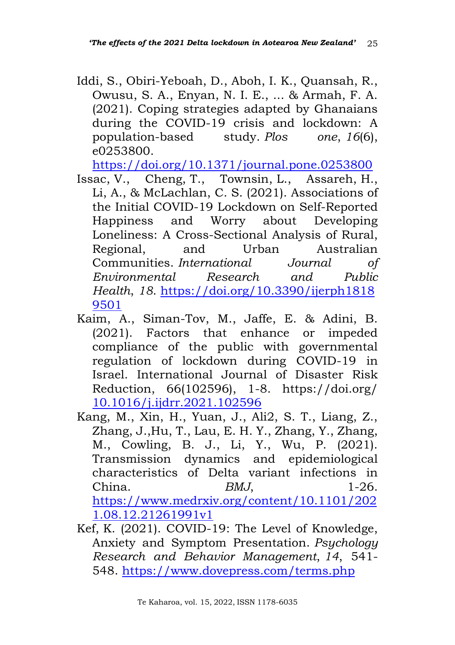Iddi, S., Obiri-Yeboah, D., Aboh, I. K., Quansah, R., Owusu, S. A., Enyan, N. I. E., ... & Armah, F. A. (2021). Coping strategies adapted by Ghanaians during the COVID-19 crisis and lockdown: A population-based study. *Plos one*, *16*(6), e0253800.

<https://doi.org/10.1371/journal.pone.0253800>

- Issac, V., Cheng, T., Townsin, L., Assareh, H., Li, A., & McLachlan, C. S. (2021). Associations of the Initial COVID-19 Lockdown on Self-Reported Happiness and Worry about Developing Loneliness: A Cross-Sectional Analysis of Rural, Regional, and Urban Australian Communities. *International Journal of Environmental Research and Public Health*, *18*. [https://doi.org/10.3390/ijerph1818](https://doi.org/10.3390/ijerph18189501) [9501](https://doi.org/10.3390/ijerph18189501)
- Kaim, A., Siman-Tov, M., Jaffe, E. & Adini, B. (2021). Factors that enhance or impeded compliance of the public with governmental regulation of lockdown during COVID-19 in Israel. International Journal of Disaster Risk Reduction, 66(102596), 1-8. https://doi.org/ [10.1016/j.ijdrr.2021.102596](https://dx.doi.org/10.1016%2Fj.ijdrr.2021.102596)
- Kang, M., Xin, H., Yuan, J., Ali2, S. T., Liang, Z., Zhang, J.,Hu, T., Lau, E. H. Y., Zhang, Y., Zhang, M., Cowling, B. J., Li, Y., Wu, P. (2021). Transmission dynamics and epidemiological characteristics of Delta variant infections in China. *BMJ*, 1-26. [https://www.medrxiv.org/content/10.1101/202](https://www.medrxiv.org/content/10.1101/2021.08.12.21261991v1) [1.08.12.21261991v1](https://www.medrxiv.org/content/10.1101/2021.08.12.21261991v1)
- Kef, K. (2021). COVID-19: The Level of Knowledge, Anxiety and Symptom Presentation. *Psychology Research and Behavior Management*, *14*, 541- 548. <https://www.dovepress.com/terms.php>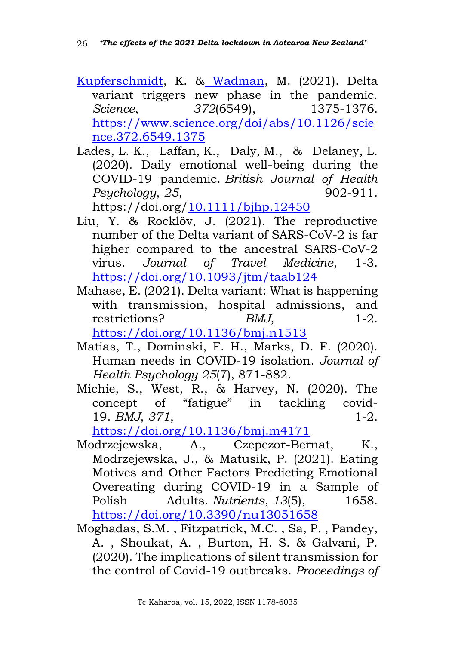- [Kupferschmidt,](https://www.science.org/doi/abs/10.1126/science.372.6549.1375#pill-con1) K. & [Wadman,](https://www.science.org/doi/abs/10.1126/science.372.6549.1375#pill-con2) M. (2021). Delta variant triggers new phase in the pandemic. *Science*, *372*(6549), 1375-1376. [https://www.science.org/doi/abs/10.1126/scie](https://www.science.org/doi/abs/10.1126/science.372.6549.1375) [nce.372.6549.1375](https://www.science.org/doi/abs/10.1126/science.372.6549.1375)
- Lades, L. K., Laffan, K., Daly, M., & Delaney, L. (2020). Daily emotional well-being during the COVID-19 pandemic. *British Journal of Health Psychology*, *25*, 902-911.

https://doi.org[/10.1111/bjhp.12450](doi:10.1111/bjhp.12450)

- Liu, Y. & Rocklöv, J. (2021). The reproductive number of the Delta variant of SARS-CoV-2 is far higher compared to the ancestral SARS-CoV-2 virus. *Journal of Travel Medicine*, 1-3. <https://doi.org/>[10.1093/jtm/taab124](https://dx.doi.org/10.1093%2Fjtm%2Ftaab124)
- Mahase, E. (2021). Delta variant: What is happening with transmission, hospital admissions, and restrictions? *BMJ*, 1-2. <https://doi.org/10.1136/bmj.n1513>
- Matias, T., Dominski, F. H., Marks, D. F. (2020). Human needs in COVID-19 isolation. *Journal of Health Psychology 25*(7), 871-882.
- Michie, S., West, R., & Harvey, N. (2020). The concept of "fatigue" in tackling covid-19. *BMJ*, *371*, 1-2.

<https://doi.org/10.1136/bmj.m4171>

- Modrzejewska, A., Czepczor-Bernat, K., Modrzejewska, J., & Matusik, P. (2021). Eating Motives and Other Factors Predicting Emotional Overeating during COVID-19 in a Sample of Polish Adults. *Nutrients*, *13*(5), 1658. <https://doi.org/10.3390/nu13051658>
- Moghadas, S.M. , Fitzpatrick, M.C. , Sa, P. , Pandey, A. , Shoukat, A. , Burton, H. S. & Galvani, P. (2020). The implications of silent transmission for the control of Covid-19 outbreaks. *Proceedings of*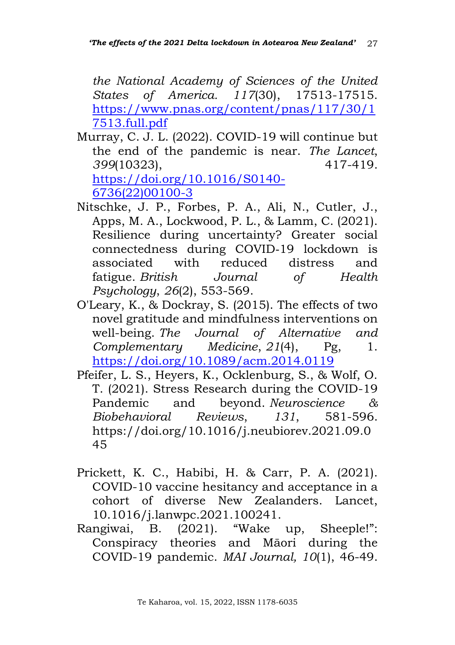*the National Academy of Sciences of the United States of America. 117*(30), 17513-17515. [https://www.pnas.org/content/pnas/117/30/1](https://www.pnas.org/content/pnas/117/30/17513.full.pdf) [7513.full.pdf](https://www.pnas.org/content/pnas/117/30/17513.full.pdf)

- Murray, C. J. L. (2022). COVID-19 will continue but the end of the pandemic is near. *The Lancet*, *399*(10323), 417-419. [https://doi.org/10.1016/S0140-](https://doi.org/10.1016/S0140-6736(22)00100-3) [6736\(22\)00100-3](https://doi.org/10.1016/S0140-6736(22)00100-3)
- Nitschke, J. P., Forbes, P. A., Ali, N., Cutler, J., Apps, M. A., Lockwood, P. L., & Lamm, C. (2021). Resilience during uncertainty? Greater social connectedness during COVID‐19 lockdown is associated with reduced distress and fatigue. *British Journal of Health Psychology*, *26*(2), 553-569.
- O'Leary, K., & Dockray, S. (2015). The effects of two novel gratitude and mindfulness interventions on well-being. *The Journal of Alternative and Complementary Medicine*, *21*(4), Pg, 1. <https://doi.org/10.1089/acm.2014.0119>
- Pfeifer, L. S., Heyers, K., Ocklenburg, S., & Wolf, O. T. (2021). Stress Research during the COVID-19 Pandemic and beyond. *Neuroscience & Biobehavioral Reviews*, *131*, 581-596. https://doi.org/10.1016/j.neubiorev.2021.09.0 45
- Prickett, K. C., Habibi, H. & Carr, P. A. (2021). COVID-10 vaccine hesitancy and acceptance in a cohort of diverse New Zealanders. Lancet, 10.1016/j.lanwpc.2021.100241.
- Rangiwai, B. (2021). "Wake up, Sheeple!": Conspiracy theories and Māori during the COVID-19 pandemic. *MAI Journal, 10*(1), 46-49.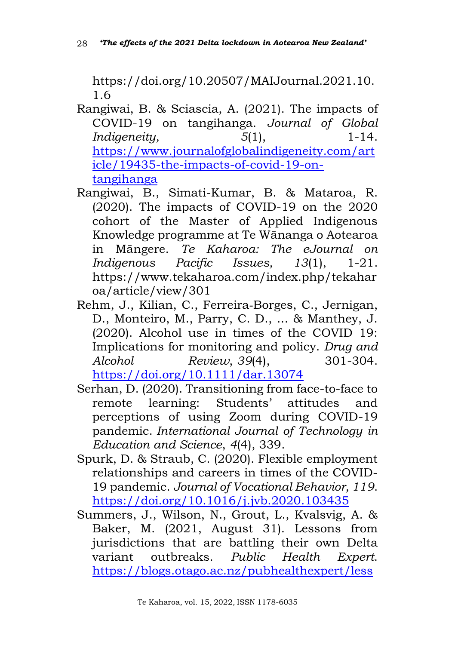https://doi.org/10.20507/MAIJournal.2021.10. 1.6

- Rangiwai, B. & Sciascia, A. (2021). The impacts of COVID-19 on tangihanga. *Journal of Global Indigeneity,* 5(1), 1-14. [https://www.journalofglobalindigeneity.com/art](https://www.journalofglobalindigeneity.com/article/19435-the-impacts-of-covid-19-on-tangihanga) [icle/19435-the-impacts-of-covid-19-on](https://www.journalofglobalindigeneity.com/article/19435-the-impacts-of-covid-19-on-tangihanga)[tangihanga](https://www.journalofglobalindigeneity.com/article/19435-the-impacts-of-covid-19-on-tangihanga)
- Rangiwai, B., Simati-Kumar, B. & Mataroa, R. (2020). The impacts of COVID-19 on the 2020 cohort of the Master of Applied Indigenous Knowledge programme at Te Wānanga o Aotearoa in Māngere. *Te Kaharoa: The eJournal on Indigenous Pacific Issues, 13*(1), 1-21. https://www.tekaharoa.com/index.php/tekahar oa/article/view/301
- Rehm, J., Kilian, C., Ferreira‐Borges, C., Jernigan, D., Monteiro, M., Parry, C. D., ... & Manthey, J. (2020). Alcohol use in times of the COVID 19: Implications for monitoring and policy. *Drug and Alcohol Review*, *39*(4), 301-304. <https://doi.org/10.1111/dar.13074>
- Serhan, D. (2020). Transitioning from face-to-face to remote learning: Students' attitudes and perceptions of using Zoom during COVID-19 pandemic. *International Journal of Technology in Education and Science*, *4*(4), 339.
- Spurk, D. & Straub, C. (2020). Flexible employment relationships and careers in times of the COVID-19 pandemic. *Journal of Vocational Behavior, 119*. <https://doi.org/10.1016/j.jvb.2020.103435>
- Summers, J., Wilson, N., Grout, L., Kvalsvig, A. & Baker, M. (2021, August 31). Lessons from jurisdictions that are battling their own Delta variant outbreaks. *Public Health Expert*. [https://blogs.otago.ac.nz/pubhealthexpert/less](https://blogs.otago.ac.nz/pubhealthexpert/lessons-from-jurisdictions-that-are-battling-their-own-delta-variant-outbreaks/)